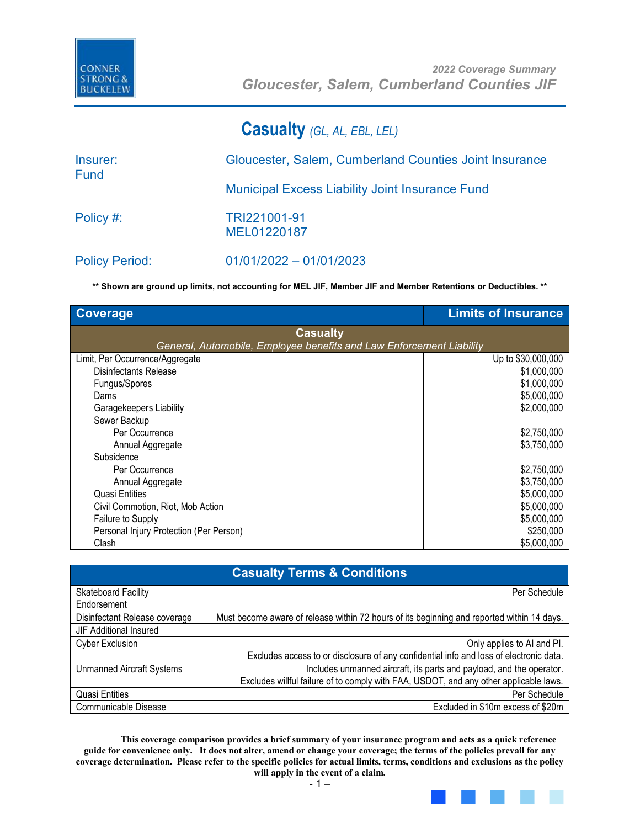

### **Casualty** *(GL, AL, EBL, LEL)*

| Insurer:<br><b>Fund</b> | Gloucester, Salem, Cumberland Counties Joint Insurance |
|-------------------------|--------------------------------------------------------|
|                         | <b>Municipal Excess Liability Joint Insurance Fund</b> |
| Policy #:               | TRI221001-91<br>MEL01220187                            |
| <b>Policy Period:</b>   | $01/01/2022 - 01/01/2023$                              |

**\*\* Shown are ground up limits, not accounting for MEL JIF, Member JIF and Member Retentions or Deductibles. \*\***

| <b>Coverage</b>                                                      | <b>Limits of Insurance</b> |
|----------------------------------------------------------------------|----------------------------|
| <b>Casualty</b>                                                      |                            |
| General, Automobile, Employee benefits and Law Enforcement Liability |                            |
| Limit, Per Occurrence/Aggregate                                      | Up to \$30,000,000         |
| Disinfectants Release                                                | \$1,000,000                |
| Fungus/Spores                                                        | \$1,000,000                |
| Dams                                                                 | \$5,000,000                |
| Garagekeepers Liability                                              | \$2,000,000                |
| Sewer Backup                                                         |                            |
| Per Occurrence                                                       | \$2,750,000                |
| Annual Aggregate                                                     | \$3,750,000                |
| Subsidence                                                           |                            |
| Per Occurrence                                                       | \$2,750,000                |
| Annual Aggregate                                                     | \$3,750,000                |
| Quasi Entities                                                       | \$5,000,000                |
| Civil Commotion, Riot, Mob Action                                    | \$5,000,000                |
| Failure to Supply                                                    | \$5,000,000                |
| Personal Injury Protection (Per Person)                              | \$250,000                  |
| Clash                                                                | \$5,000,000                |

|                                  | <b>Casualty Terms &amp; Conditions</b>                                                     |
|----------------------------------|--------------------------------------------------------------------------------------------|
| Skateboard Facility              | Per Schedule                                                                               |
| Endorsement                      |                                                                                            |
| Disinfectant Release coverage    | Must become aware of release within 72 hours of its beginning and reported within 14 days. |
| <b>JIF Additional Insured</b>    |                                                                                            |
| <b>Cyber Exclusion</b>           | Only applies to AI and PI.                                                                 |
|                                  | Excludes access to or disclosure of any confidential info and loss of electronic data.     |
| <b>Unmanned Aircraft Systems</b> | Includes unmanned aircraft, its parts and payload, and the operator.                       |
|                                  | Excludes willful failure of to comply with FAA, USDOT, and any other applicable laws.      |
| <b>Quasi Entities</b>            | Per Schedule                                                                               |
| Communicable Disease             | Excluded in \$10m excess of \$20m                                                          |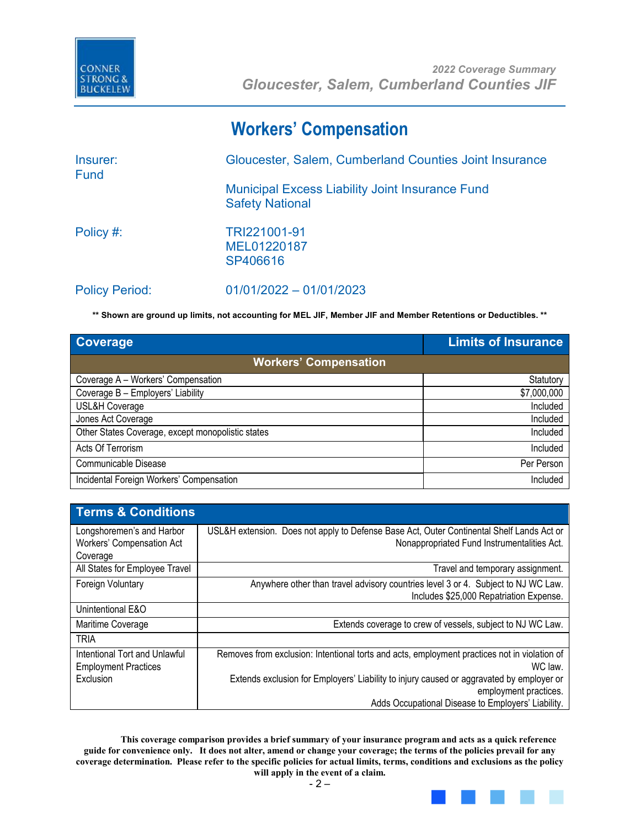

## **Workers' Compensation**

| Insurer:<br><b>Fund</b> | Gloucester, Salem, Cumberland Counties Joint Insurance                           |
|-------------------------|----------------------------------------------------------------------------------|
|                         | <b>Municipal Excess Liability Joint Insurance Fund</b><br><b>Safety National</b> |
| Policy #:               | TRI221001-91<br>MEL01220187<br>SP406616                                          |
| <b>Policy Period:</b>   | $01/01/2022 - 01/01/2023$                                                        |

**\*\* Shown are ground up limits, not accounting for MEL JIF, Member JIF and Member Retentions or Deductibles. \*\***

| <b>Coverage</b>                                   | <b>Limits of Insurance</b> |
|---------------------------------------------------|----------------------------|
| <b>Workers' Compensation</b>                      |                            |
| Coverage A - Workers' Compensation                | Statutory                  |
| Coverage B - Employers' Liability                 | \$7,000,000                |
| USL&H Coverage                                    | Included                   |
| Jones Act Coverage                                | Included                   |
| Other States Coverage, except monopolistic states | Included                   |
| Acts Of Terrorism                                 | Included                   |
| Communicable Disease                              | Per Person                 |
| Incidental Foreign Workers' Compensation          | Included                   |

| <b>Terms &amp; Conditions</b>                                      |                                                                                                                                          |
|--------------------------------------------------------------------|------------------------------------------------------------------------------------------------------------------------------------------|
| Longshoremen's and Harbor<br>Workers' Compensation Act<br>Coverage | USL&H extension. Does not apply to Defense Base Act, Outer Continental Shelf Lands Act or<br>Nonappropriated Fund Instrumentalities Act. |
| All States for Employee Travel                                     | Travel and temporary assignment.                                                                                                         |
| Foreign Voluntary                                                  | Anywhere other than travel advisory countries level 3 or 4. Subject to NJ WC Law.<br>Includes \$25,000 Repatriation Expense.             |
| Unintentional E&O                                                  |                                                                                                                                          |
| Maritime Coverage                                                  | Extends coverage to crew of vessels, subject to NJ WC Law.                                                                               |
| <b>TRIA</b>                                                        |                                                                                                                                          |
| Intentional Tort and Unlawful<br><b>Employment Practices</b>       | Removes from exclusion: Intentional torts and acts, employment practices not in violation of<br>WC law.                                  |
| Exclusion                                                          | Extends exclusion for Employers' Liability to injury caused or aggravated by employer or                                                 |
|                                                                    | employment practices.                                                                                                                    |
|                                                                    | Adds Occupational Disease to Employers' Liability.                                                                                       |

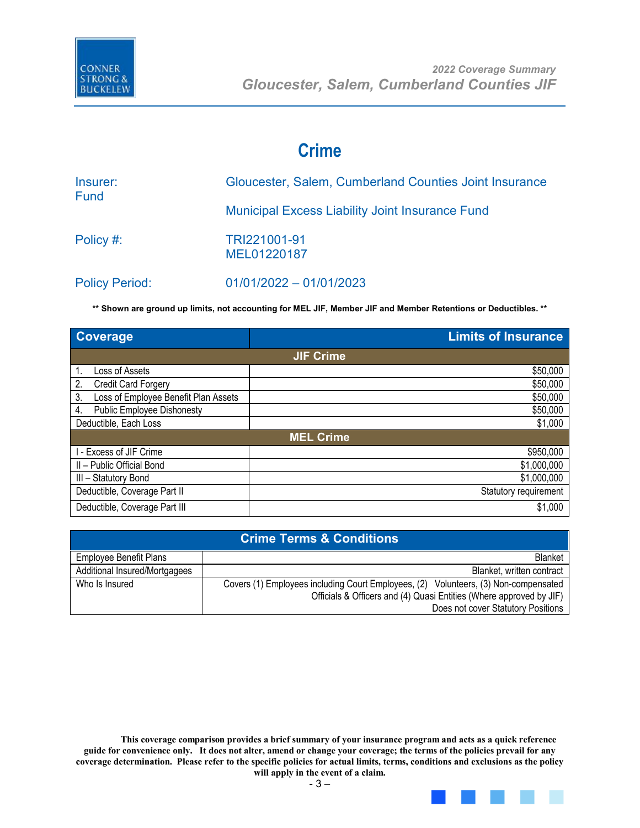

### **Crime**

| Insurer:<br><b>Fund</b> | Gloucester, Salem, Cumberland Counties Joint Insurance |
|-------------------------|--------------------------------------------------------|
|                         | <b>Municipal Excess Liability Joint Insurance Fund</b> |
| Policy #:               | TRI221001-91<br>MEL01220187                            |
| <b>Policy Period:</b>   | $01/01/2022 - 01/01/2023$                              |

**\*\* Shown are ground up limits, not accounting for MEL JIF, Member JIF and Member Retentions or Deductibles. \*\***

| Coverage                                   | <b>Limits of Insurance</b> |
|--------------------------------------------|----------------------------|
|                                            | <b>JIF Crime</b>           |
| Loss of Assets                             | \$50,000                   |
| 2.<br><b>Credit Card Forgery</b>           | \$50,000                   |
| 3.<br>Loss of Employee Benefit Plan Assets | \$50,000                   |
| <b>Public Employee Dishonesty</b><br>4.    | \$50,000                   |
| Deductible, Each Loss                      | \$1,000                    |
|                                            | <b>MEL Crime</b>           |
| I - Excess of JIF Crime                    | \$950,000                  |
| II - Public Official Bond                  | \$1,000,000                |
| III - Statutory Bond                       | \$1,000,000                |
| Deductible, Coverage Part II               | Statutory requirement      |
| Deductible, Coverage Part III              | \$1,000                    |

|                               | <b>Crime Terms &amp; Conditions</b>                                                 |
|-------------------------------|-------------------------------------------------------------------------------------|
| <b>Employee Benefit Plans</b> | <b>Blanket</b>                                                                      |
| Additional Insured/Mortgagees | Blanket, written contract                                                           |
| Who Is Insured                | Covers (1) Employees including Court Employees, (2) Volunteers, (3) Non-compensated |
|                               | Officials & Officers and (4) Quasi Entities (Where approved by JIF)                 |
|                               | Does not cover Statutory Positions                                                  |

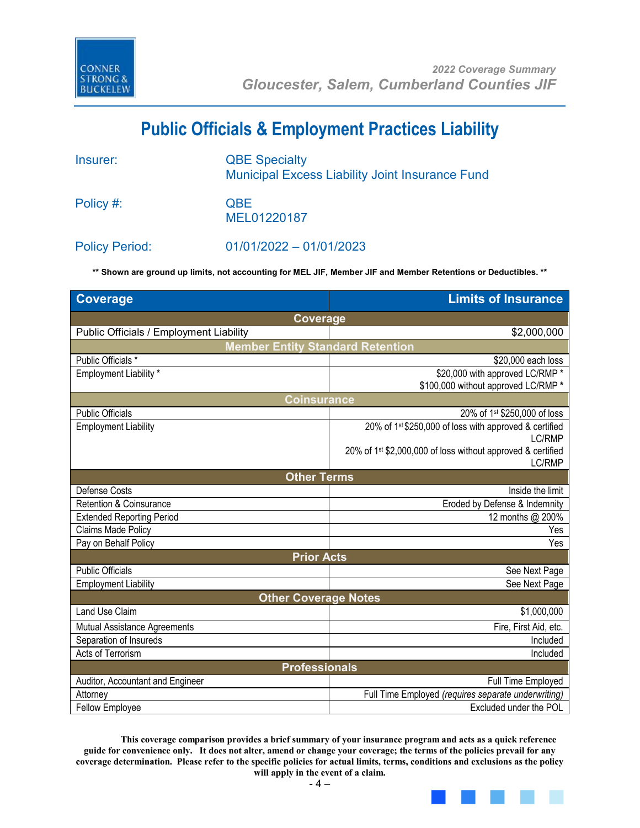

## **Public Officials & Employment Practices Liability**

| Insurer:              | <b>QBE Specialty</b><br><b>Municipal Excess Liability Joint Insurance Fund</b> |
|-----------------------|--------------------------------------------------------------------------------|
| Policy #:             | <b>QBE</b><br>MEL01220187                                                      |
| <b>Policy Period:</b> | $01/01/2022 - 01/01/2023$                                                      |

**\*\* Shown are ground up limits, not accounting for MEL JIF, Member JIF and Member Retentions or Deductibles. \*\***

| <b>Coverage</b>                         | <b>Limits of Insurance</b>                                                        |  |  |
|-----------------------------------------|-----------------------------------------------------------------------------------|--|--|
| Coverage                                |                                                                                   |  |  |
| Public Officials / Employment Liability | \$2,000,000                                                                       |  |  |
| <b>Member Entity Standard Retention</b> |                                                                                   |  |  |
| Public Officials *                      | \$20,000 each loss                                                                |  |  |
| Employment Liability *                  | \$20,000 with approved LC/RMP *                                                   |  |  |
|                                         | \$100,000 without approved LC/RMP *                                               |  |  |
| <b>Coinsurance</b>                      |                                                                                   |  |  |
| <b>Public Officials</b>                 | 20% of 1st \$250,000 of loss                                                      |  |  |
| <b>Employment Liability</b>             | 20% of 1st \$250,000 of loss with approved & certified                            |  |  |
|                                         | LC/RMP                                                                            |  |  |
|                                         | 20% of 1 <sup>st</sup> \$2,000,000 of loss without approved & certified<br>LC/RMP |  |  |
|                                         |                                                                                   |  |  |
| <b>Other Terms</b><br>Defense Costs     | Inside the limit                                                                  |  |  |
| Retention & Coinsurance                 | Eroded by Defense & Indemnity                                                     |  |  |
| <b>Extended Reporting Period</b>        | 12 months @ 200%                                                                  |  |  |
| Claims Made Policy                      | Yes                                                                               |  |  |
| Pay on Behalf Policy                    | Yes                                                                               |  |  |
| <b>Prior Acts</b>                       |                                                                                   |  |  |
| <b>Public Officials</b>                 | See Next Page                                                                     |  |  |
| <b>Employment Liability</b>             | See Next Page                                                                     |  |  |
| <b>Other Coverage Notes</b>             |                                                                                   |  |  |
| <b>Land Use Claim</b>                   | \$1,000,000                                                                       |  |  |
| Mutual Assistance Agreements            | Fire, First Aid, etc.                                                             |  |  |
| Separation of Insureds                  | Included                                                                          |  |  |
| Acts of Terrorism                       | Included                                                                          |  |  |
| <b>Professionals</b>                    |                                                                                   |  |  |
| Auditor, Accountant and Engineer        | Full Time Employed                                                                |  |  |
| Attorney                                | Full Time Employed (requires separate underwriting)                               |  |  |
| <b>Fellow Employee</b>                  | Excluded under the POL                                                            |  |  |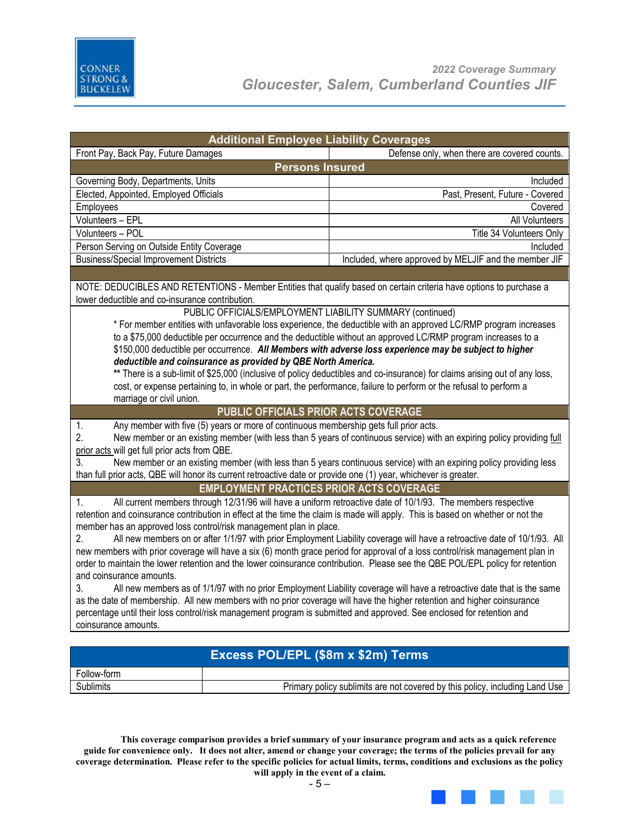

| <b>Additional Employee Liability Coverages</b>                                                                                 |                                                                                                                            |
|--------------------------------------------------------------------------------------------------------------------------------|----------------------------------------------------------------------------------------------------------------------------|
| Front Pay, Back Pay, Future Damages                                                                                            | Defense only, when there are covered counts.                                                                               |
| <b>Persons Insured</b>                                                                                                         |                                                                                                                            |
| Governing Body, Departments, Units                                                                                             | Included                                                                                                                   |
| Elected, Appointed, Employed Officials                                                                                         | Past, Present, Future - Covered                                                                                            |
| Employees                                                                                                                      | Covered                                                                                                                    |
| Volunteers - EPL                                                                                                               | All Volunteers                                                                                                             |
| Volunteers - POL                                                                                                               | Title 34 Volunteers Only                                                                                                   |
| Person Serving on Outside Entity Coverage                                                                                      | Included                                                                                                                   |
| <b>Business/Special Improvement Districts</b>                                                                                  | Included, where approved by MELJIF and the member JIF                                                                      |
|                                                                                                                                |                                                                                                                            |
| NOTE: DEDUCIBLES AND RETENTIONS - Member Entities that qualify based on certain criteria have options to purchase a            |                                                                                                                            |
| lower deductible and co-insurance contribution.                                                                                |                                                                                                                            |
| PUBLIC OFFICIALS/EMPLOYMENT LIABILITY SUMMARY (continued)                                                                      |                                                                                                                            |
|                                                                                                                                | * For member entities with unfavorable loss experience, the deductible with an approved LC/RMP program increases           |
| to a \$75,000 deductible per occurrence and the deductible without an approved LC/RMP program increases to a                   |                                                                                                                            |
| \$150,000 deductible per occurrence. All Members with adverse loss experience may be subject to higher                         |                                                                                                                            |
| deductible and coinsurance as provided by QBE North America.                                                                   |                                                                                                                            |
|                                                                                                                                | ** There is a sub-limit of \$25,000 (inclusive of policy deductibles and co-insurance) for claims arising out of any loss, |
| cost, or expense pertaining to, in whole or part, the performance, failure to perform or the refusal to perform a              |                                                                                                                            |
| marriage or civil union.                                                                                                       |                                                                                                                            |
| PUBLIC OFFICIALS PRIOR ACTS COVERAGE                                                                                           |                                                                                                                            |
|                                                                                                                                |                                                                                                                            |
| Any member with five (5) years or more of continuous membership gets full prior acts.<br>1.                                    |                                                                                                                            |
| 2.                                                                                                                             | New member or an existing member (with less than 5 years of continuous service) with an expiring policy providing full     |
| prior acts will get full prior acts from QBE.                                                                                  |                                                                                                                            |
| 3.                                                                                                                             | New member or an existing member (with less than 5 years continuous service) with an expiring policy providing less        |
| than full prior acts, QBE will honor its current retroactive date or provide one (1) year, whichever is greater.               |                                                                                                                            |
| <b>EMPLOYMENT PRACTICES PRIOR ACTS COVERAGE</b>                                                                                |                                                                                                                            |
| All current members through 12/31/96 will have a uniform retroactive date of 10/1/93. The members respective<br>1.             |                                                                                                                            |
| retention and coinsurance contribution in effect at the time the claim is made will apply. This is based on whether or not the |                                                                                                                            |
| member has an approved loss control/risk management plan in place.                                                             |                                                                                                                            |
| 2.                                                                                                                             | All new members on or after 1/1/97 with prior Employment Liability coverage will have a retroactive date of 10/1/93. All   |
| new members with prior coverage will have a six (6) month grace period for approval of a loss control/risk management plan in  |                                                                                                                            |
| order to maintain the lower retention and the lower coinsurance contribution. Please see the QBE POL/EPL policy for retention  |                                                                                                                            |
| and coinsurance amounts.                                                                                                       |                                                                                                                            |
| 3.                                                                                                                             | All new members as of 1/1/97 with no prior Employment Liability coverage will have a retroactive date that is the same     |
| as the date of membership. All new members with no prior coverage will have the higher retention and higher coinsurance        |                                                                                                                            |
| percentage until their loss control/risk management program is submitted and approved. See enclosed for retention and          |                                                                                                                            |
| coinsurance amounts.                                                                                                           |                                                                                                                            |
|                                                                                                                                |                                                                                                                            |
| Excess POL/EPL (\$8m x \$2m) Terms                                                                                             |                                                                                                                            |

**This coverage comparison provides a brief summary of your insurance program and acts as a quick reference guide for convenience only. It does not alter, amend or change your coverage; the terms of the policies prevail for any** 

Sublimits **Example 20 Sublimits** Primary policy sublimits are not covered by this policy, including Land Use

**coverage determination. Please refer to the specific policies for actual limits, terms, conditions and exclusions as the policy will apply in the event of a claim.** 

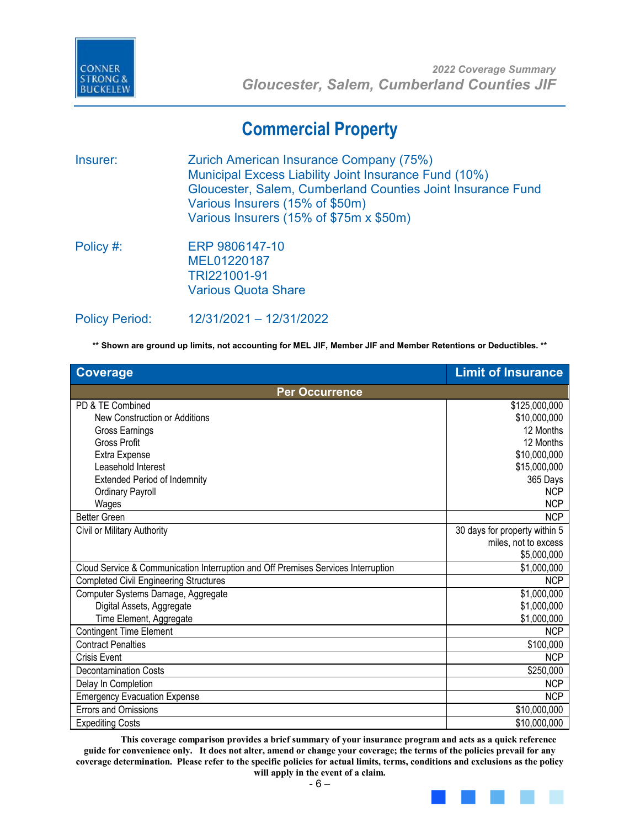

### **Commercial Property**

Insurer: Zurich American Insurance Company (75%) Municipal Excess Liability Joint Insurance Fund (10%) Gloucester, Salem, Cumberland Counties Joint Insurance Fund Various Insurers (15% of \$50m) Various Insurers (15% of \$75m x \$50m)

Policy #: ERP 9806147-10 MEL01220187 TRI221001-91 Various Quota Share

Policy Period: 12/31/2021 – 12/31/2022

**\*\* Shown are ground up limits, not accounting for MEL JIF, Member JIF and Member Retentions or Deductibles. \*\***

| <b>Coverage</b>                                                                   | <b>Limit of Insurance</b>     |
|-----------------------------------------------------------------------------------|-------------------------------|
| <b>Per Occurrence</b>                                                             |                               |
| PD & TE Combined                                                                  | \$125,000,000                 |
| New Construction or Additions                                                     | \$10,000,000                  |
| Gross Earnings                                                                    | 12 Months                     |
| <b>Gross Profit</b>                                                               | 12 Months                     |
| Extra Expense                                                                     | \$10,000,000                  |
| Leasehold Interest                                                                | \$15,000,000                  |
| <b>Extended Period of Indemnity</b>                                               | 365 Days                      |
| <b>Ordinary Payroll</b>                                                           | <b>NCP</b>                    |
| Wages                                                                             | <b>NCP</b>                    |
| <b>Better Green</b>                                                               | <b>NCP</b>                    |
| Civil or Military Authority                                                       | 30 days for property within 5 |
|                                                                                   | miles, not to excess          |
|                                                                                   | \$5,000,000                   |
| Cloud Service & Communication Interruption and Off Premises Services Interruption | \$1,000,000                   |
| <b>Completed Civil Engineering Structures</b>                                     | <b>NCP</b>                    |
| Computer Systems Damage, Aggregate                                                | \$1,000,000                   |
| Digital Assets, Aggregate                                                         | \$1,000,000                   |
| Time Element, Aggregate                                                           | \$1,000,000                   |
| <b>Contingent Time Element</b>                                                    | <b>NCP</b>                    |
| <b>Contract Penalties</b>                                                         | \$100,000                     |
| Crisis Event                                                                      | <b>NCP</b>                    |
| <b>Decontamination Costs</b>                                                      | \$250,000                     |
| Delay In Completion                                                               | <b>NCP</b>                    |
| <b>Emergency Evacuation Expense</b>                                               | <b>NCP</b>                    |
| <b>Errors and Omissions</b>                                                       | \$10,000,000                  |
| <b>Expediting Costs</b>                                                           | \$10,000,000                  |

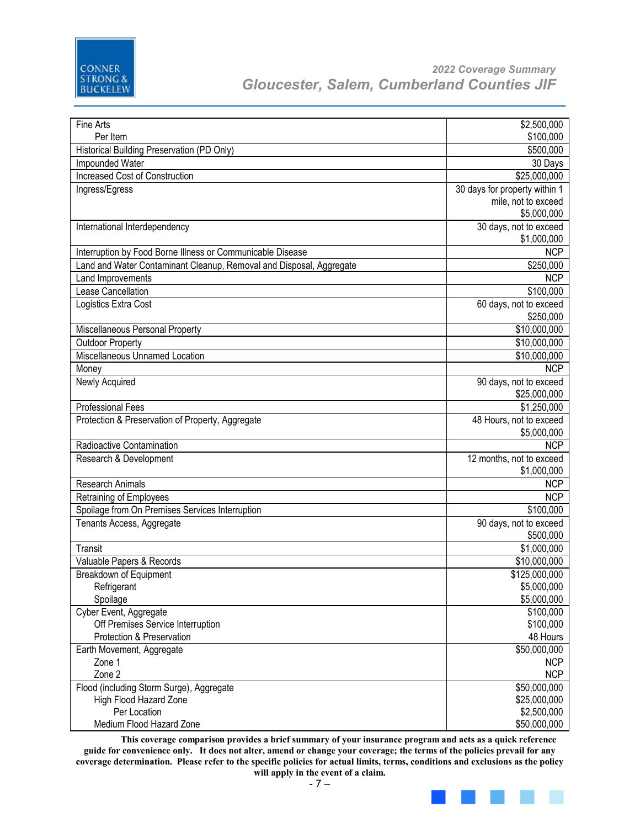

| Fine Arts                                                           | \$2,500,000                   |
|---------------------------------------------------------------------|-------------------------------|
| Per Item                                                            | \$100,000                     |
| Historical Building Preservation (PD Only)                          | \$500,000                     |
| Impounded Water                                                     | 30 Days                       |
| <b>Increased Cost of Construction</b>                               | \$25,000,000                  |
| Ingress/Egress                                                      | 30 days for property within 1 |
|                                                                     | mile, not to exceed           |
|                                                                     |                               |
|                                                                     | \$5,000,000                   |
| International Interdependency                                       | 30 days, not to exceed        |
|                                                                     | \$1,000,000                   |
| Interruption by Food Borne Illness or Communicable Disease          | <b>NCP</b>                    |
| Land and Water Contaminant Cleanup, Removal and Disposal, Aggregate | \$250,000                     |
| Land Improvements                                                   | <b>NCP</b>                    |
| Lease Cancellation                                                  | \$100,000                     |
| Logistics Extra Cost                                                | 60 days, not to exceed        |
|                                                                     | \$250,000                     |
| Miscellaneous Personal Property                                     | \$10,000,000                  |
| <b>Outdoor Property</b>                                             | \$10,000,000                  |
| Miscellaneous Unnamed Location                                      | \$10,000,000                  |
|                                                                     |                               |
| Money                                                               | <b>NCP</b>                    |
| Newly Acquired                                                      | 90 days, not to exceed        |
|                                                                     | \$25,000,000                  |
| <b>Professional Fees</b>                                            | \$1,250,000                   |
| Protection & Preservation of Property, Aggregate                    | 48 Hours, not to exceed       |
|                                                                     | \$5,000,000                   |
| Radioactive Contamination                                           | <b>NCP</b>                    |
| Research & Development                                              | 12 months, not to exceed      |
|                                                                     | \$1,000,000                   |
| Research Animals                                                    | <b>NCP</b>                    |
|                                                                     |                               |
| Retraining of Employees                                             | <b>NCP</b>                    |
| Spoilage from On Premises Services Interruption                     | \$100,000                     |
| Tenants Access, Aggregate                                           | 90 days, not to exceed        |
|                                                                     | \$500,000                     |
| Transit                                                             | \$1,000,000                   |
| Valuable Papers & Records                                           | \$10,000,000                  |
| Breakdown of Equipment                                              | \$125,000,000                 |
| Refrigerant                                                         | \$5,000,000                   |
| Spoilage                                                            | \$5,000,000                   |
| Cyber Event, Aggregate                                              | \$100,000                     |
| Off Premises Service Interruption                                   | \$100,000                     |
| Protection & Preservation                                           | 48 Hours                      |
| Earth Movement, Aggregate                                           | \$50,000,000                  |
|                                                                     |                               |
| Zone 1                                                              | <b>NCP</b>                    |
| Zone 2                                                              | <b>NCP</b>                    |
| Flood (including Storm Surge), Aggregate                            | \$50,000,000                  |
| High Flood Hazard Zone                                              | \$25,000,000                  |
| Per Location                                                        | \$2,500,000                   |
| Medium Flood Hazard Zone                                            | \$50,000,000                  |

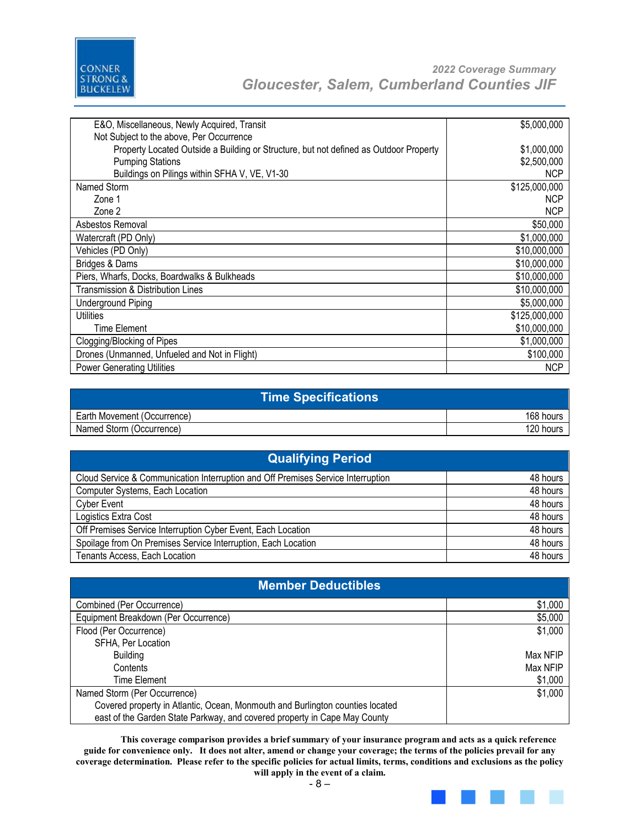

| E&O, Miscellaneous, Newly Acquired, Transit                                           | \$5,000,000   |
|---------------------------------------------------------------------------------------|---------------|
| Not Subject to the above, Per Occurrence                                              |               |
| Property Located Outside a Building or Structure, but not defined as Outdoor Property | \$1,000,000   |
| <b>Pumping Stations</b>                                                               | \$2,500,000   |
| Buildings on Pilings within SFHA V, VE, V1-30                                         | <b>NCP</b>    |
| Named Storm                                                                           | \$125,000,000 |
| Zone 1                                                                                | <b>NCP</b>    |
| Zone 2                                                                                | <b>NCP</b>    |
| Asbestos Removal                                                                      | \$50,000      |
| Watercraft (PD Only)                                                                  | \$1,000,000   |
| Vehicles (PD Only)                                                                    | \$10,000,000  |
| Bridges & Dams                                                                        | \$10,000,000  |
| Piers, Wharfs, Docks, Boardwalks & Bulkheads                                          | \$10,000,000  |
| <b>Transmission &amp; Distribution Lines</b>                                          | \$10,000,000  |
| <b>Underground Piping</b>                                                             | \$5,000,000   |
| Utilities                                                                             | \$125,000,000 |
| <b>Time Element</b>                                                                   | \$10,000,000  |
| Clogging/Blocking of Pipes                                                            | \$1,000,000   |
| Drones (Unmanned, Unfueled and Not in Flight)                                         | \$100,000     |
| <b>Power Generating Utilities</b>                                                     | NCP           |

| Time Specifications <b>\</b> |           |
|------------------------------|-----------|
| Earth Movement (Occurrence)  | 168 hours |
| Named Storm (Occurrence)     | 120 hours |

| <b>Qualifying Period</b>                                                         |          |
|----------------------------------------------------------------------------------|----------|
| Cloud Service & Communication Interruption and Off Premises Service Interruption | 48 hours |
| Computer Systems, Each Location                                                  | 48 hours |
| <b>Cyber Event</b>                                                               | 48 hours |
| Logistics Extra Cost                                                             | 48 hours |
| Off Premises Service Interruption Cyber Event, Each Location                     | 48 hours |
| Spoilage from On Premises Service Interruption, Each Location                    | 48 hours |
| Tenants Access, Each Location                                                    | 48 hours |

| <b>Member Deductibles</b>                                                     |          |
|-------------------------------------------------------------------------------|----------|
| Combined (Per Occurrence)                                                     | \$1,000  |
| Equipment Breakdown (Per Occurrence)                                          | \$5,000  |
| Flood (Per Occurrence)                                                        | \$1,000  |
| SFHA, Per Location                                                            |          |
| <b>Building</b>                                                               | Max NFIP |
| Contents                                                                      | Max NFIP |
| Time Element                                                                  | \$1,000  |
| Named Storm (Per Occurrence)                                                  | \$1,000  |
| Covered property in Atlantic, Ocean, Monmouth and Burlington counties located |          |
| east of the Garden State Parkway, and covered property in Cape May County     |          |

- 8 –

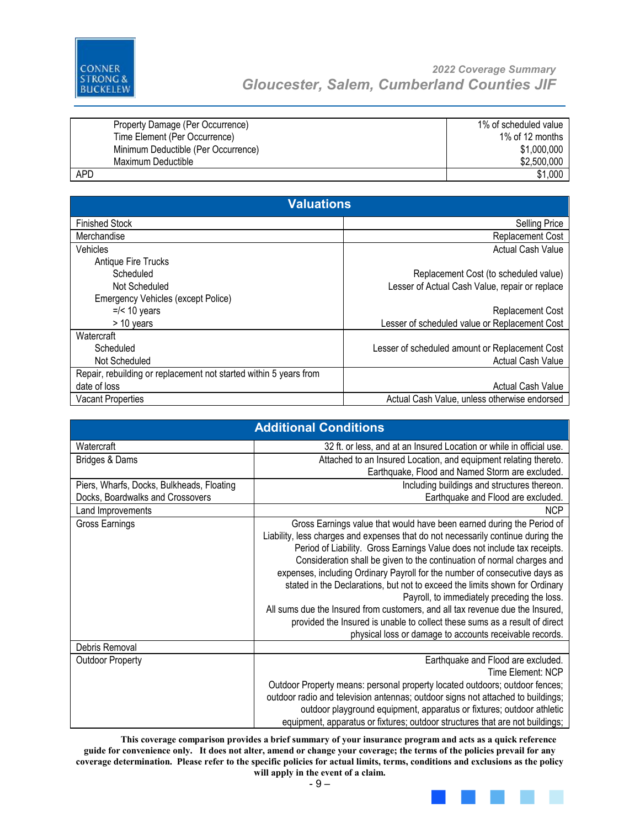

| Property Damage (Per Occurrence)    | 1% of scheduled value |
|-------------------------------------|-----------------------|
| Time Element (Per Occurrence)       | 1% of 12 months       |
| Minimum Deductible (Per Occurrence) | \$1,000,000           |
| Maximum Deductible                  | \$2,500,000           |
| <b>APD</b>                          | \$1,000               |

| <b>Valuations</b>                                                 |                                                |
|-------------------------------------------------------------------|------------------------------------------------|
| <b>Finished Stock</b>                                             | <b>Selling Price</b>                           |
| Merchandise                                                       | Replacement Cost                               |
| Vehicles                                                          | <b>Actual Cash Value</b>                       |
| Antique Fire Trucks                                               |                                                |
| Scheduled                                                         | Replacement Cost (to scheduled value)          |
| Not Scheduled                                                     | Lesser of Actual Cash Value, repair or replace |
| <b>Emergency Vehicles (except Police)</b>                         |                                                |
| $=$ /< 10 years                                                   | Replacement Cost                               |
| > 10 years                                                        | Lesser of scheduled value or Replacement Cost  |
| Watercraft                                                        |                                                |
| Scheduled                                                         | Lesser of scheduled amount or Replacement Cost |
| Not Scheduled                                                     | <b>Actual Cash Value</b>                       |
| Repair, rebuilding or replacement not started within 5 years from |                                                |
| date of loss                                                      | <b>Actual Cash Value</b>                       |
| <b>Vacant Properties</b>                                          | Actual Cash Value, unless otherwise endorsed   |

| <b>Additional Conditions</b>              |                                                                                  |  |
|-------------------------------------------|----------------------------------------------------------------------------------|--|
| Watercraft                                | 32 ft. or less, and at an Insured Location or while in official use.             |  |
| Bridges & Dams                            | Attached to an Insured Location, and equipment relating thereto.                 |  |
|                                           | Earthquake, Flood and Named Storm are excluded.                                  |  |
| Piers, Wharfs, Docks, Bulkheads, Floating | Including buildings and structures thereon.                                      |  |
| Docks, Boardwalks and Crossovers          | Earthquake and Flood are excluded.                                               |  |
| Land Improvements                         | <b>NCP</b>                                                                       |  |
| Gross Earnings                            | Gross Earnings value that would have been earned during the Period of            |  |
|                                           | Liability, less charges and expenses that do not necessarily continue during the |  |
|                                           | Period of Liability. Gross Earnings Value does not include tax receipts.         |  |
|                                           | Consideration shall be given to the continuation of normal charges and           |  |
|                                           | expenses, including Ordinary Payroll for the number of consecutive days as       |  |
|                                           | stated in the Declarations, but not to exceed the limits shown for Ordinary      |  |
|                                           | Payroll, to immediately preceding the loss.                                      |  |
|                                           | All sums due the Insured from customers, and all tax revenue due the Insured,    |  |
|                                           | provided the Insured is unable to collect these sums as a result of direct       |  |
|                                           | physical loss or damage to accounts receivable records.                          |  |
| Debris Removal                            |                                                                                  |  |
| <b>Outdoor Property</b>                   | Earthquake and Flood are excluded.                                               |  |
|                                           | Time Element: NCP                                                                |  |
|                                           | Outdoor Property means: personal property located outdoors; outdoor fences;      |  |
|                                           | outdoor radio and television antennas; outdoor signs not attached to buildings;  |  |
|                                           | outdoor playground equipment, apparatus or fixtures; outdoor athletic            |  |
|                                           | equipment, apparatus or fixtures; outdoor structures that are not buildings;     |  |

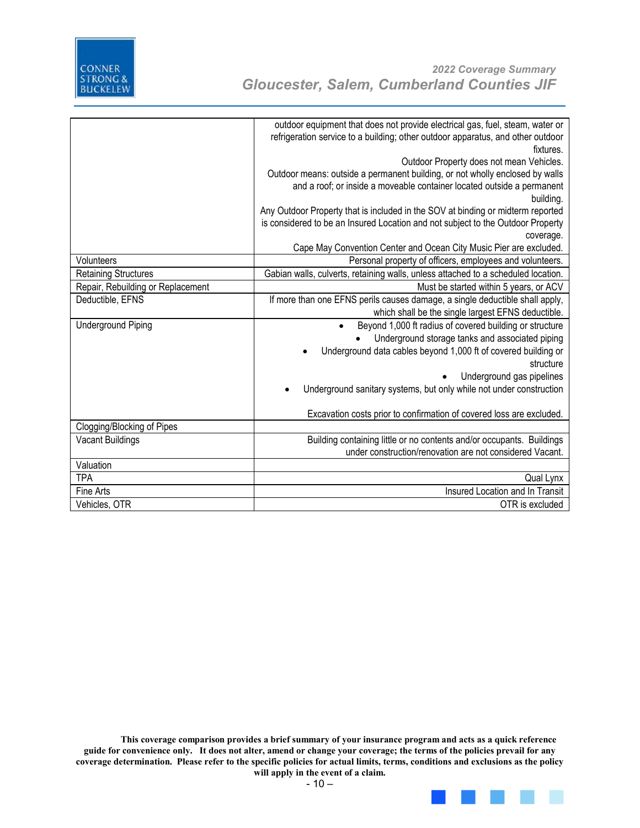

|                                   | outdoor equipment that does not provide electrical gas, fuel, steam, water or<br>refrigeration service to a building; other outdoor apparatus, and other outdoor<br>fixtures. |
|-----------------------------------|-------------------------------------------------------------------------------------------------------------------------------------------------------------------------------|
|                                   | Outdoor Property does not mean Vehicles.                                                                                                                                      |
|                                   | Outdoor means: outside a permanent building, or not wholly enclosed by walls                                                                                                  |
|                                   | and a roof; or inside a moveable container located outside a permanent                                                                                                        |
|                                   | building.                                                                                                                                                                     |
|                                   | Any Outdoor Property that is included in the SOV at binding or midterm reported                                                                                               |
|                                   | is considered to be an Insured Location and not subject to the Outdoor Property                                                                                               |
|                                   | coverage.                                                                                                                                                                     |
|                                   | Cape May Convention Center and Ocean City Music Pier are excluded.                                                                                                            |
| Volunteers                        | Personal property of officers, employees and volunteers.                                                                                                                      |
| <b>Retaining Structures</b>       | Gabian walls, culverts, retaining walls, unless attached to a scheduled location.                                                                                             |
| Repair, Rebuilding or Replacement | Must be started within 5 years, or ACV                                                                                                                                        |
| Deductible, EFNS                  | If more than one EFNS perils causes damage, a single deductible shall apply,                                                                                                  |
|                                   | which shall be the single largest EFNS deductible.                                                                                                                            |
| <b>Underground Piping</b>         | Beyond 1,000 ft radius of covered building or structure                                                                                                                       |
|                                   | Underground storage tanks and associated piping                                                                                                                               |
|                                   | Underground data cables beyond 1,000 ft of covered building or                                                                                                                |
|                                   | structure                                                                                                                                                                     |
|                                   | Underground gas pipelines                                                                                                                                                     |
|                                   | Underground sanitary systems, but only while not under construction                                                                                                           |
|                                   | Excavation costs prior to confirmation of covered loss are excluded.                                                                                                          |
| Clogging/Blocking of Pipes        |                                                                                                                                                                               |
| <b>Vacant Buildings</b>           | Building containing little or no contents and/or occupants. Buildings                                                                                                         |
|                                   | under construction/renovation are not considered Vacant.                                                                                                                      |
| Valuation                         |                                                                                                                                                                               |
| <b>TPA</b>                        | Qual Lynx                                                                                                                                                                     |
| Fine Arts                         | Insured Location and In Transit                                                                                                                                               |
| Vehicles, OTR                     | OTR is excluded                                                                                                                                                               |
|                                   |                                                                                                                                                                               |

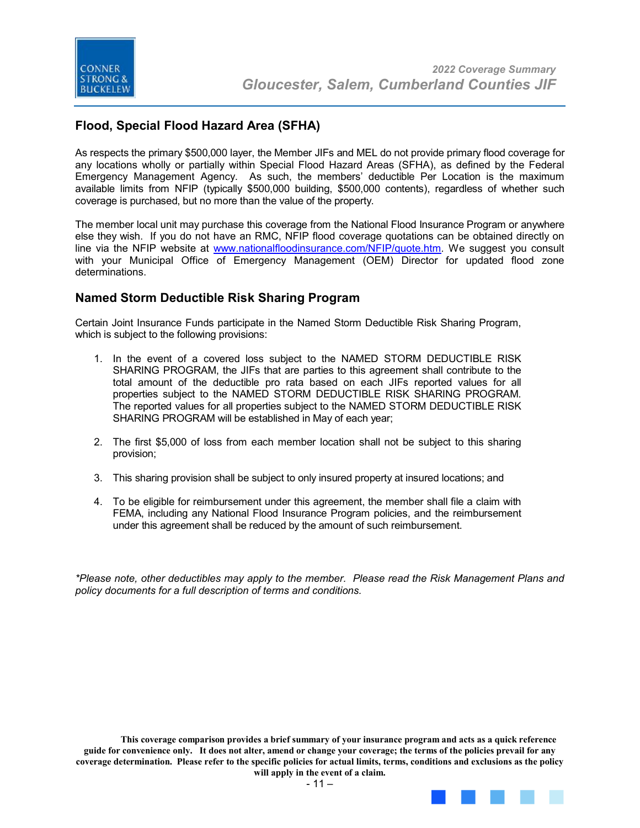

#### **Flood, Special Flood Hazard Area (SFHA)**

As respects the primary \$500,000 layer, the Member JIFs and MEL do not provide primary flood coverage for any locations wholly or partially within Special Flood Hazard Areas (SFHA), as defined by the Federal Emergency Management Agency. As such, the members' deductible Per Location is the maximum available limits from NFIP (typically \$500,000 building, \$500,000 contents), regardless of whether such coverage is purchased, but no more than the value of the property.

The member local unit may purchase this coverage from the National Flood Insurance Program or anywhere else they wish. If you do not have an RMC, NFIP flood coverage quotations can be obtained directly on line via the NFIP website at www.nationalfloodinsurance.com/NFIP/quote.htm*.* We suggest you consult with your Municipal Office of Emergency Management (OEM) Director for updated flood zone determinations.

#### **Named Storm Deductible Risk Sharing Program**

Certain Joint Insurance Funds participate in the Named Storm Deductible Risk Sharing Program, which is subject to the following provisions:

- 1. In the event of a covered loss subject to the NAMED STORM DEDUCTIBLE RISK SHARING PROGRAM, the JIFs that are parties to this agreement shall contribute to the total amount of the deductible pro rata based on each JIFs reported values for all properties subject to the NAMED STORM DEDUCTIBLE RISK SHARING PROGRAM. The reported values for all properties subject to the NAMED STORM DEDUCTIBLE RISK SHARING PROGRAM will be established in May of each year;
- 2. The first \$5,000 of loss from each member location shall not be subject to this sharing provision;
- 3. This sharing provision shall be subject to only insured property at insured locations; and
- 4. To be eligible for reimbursement under this agreement, the member shall file a claim with FEMA, including any National Flood Insurance Program policies, and the reimbursement under this agreement shall be reduced by the amount of such reimbursement.

*\*Please note, other deductibles may apply to the member. Please read the Risk Management Plans and policy documents for a full description of terms and conditions.*

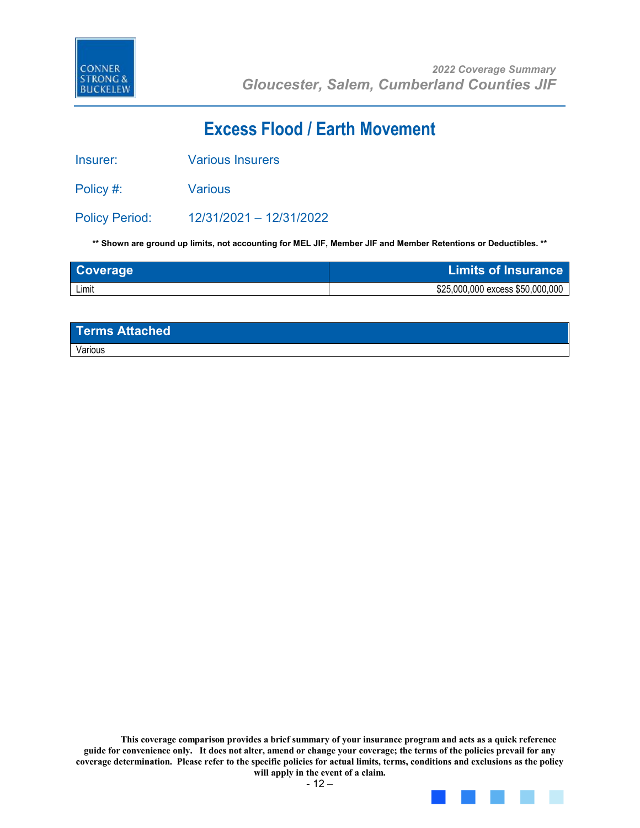

## **Excess Flood / Earth Movement**

Insurer: Various Insurers

Policy #: Various

Policy Period: 12/31/2021 – 12/31/2022

**\*\* Shown are ground up limits, not accounting for MEL JIF, Member JIF and Member Retentions or Deductibles. \*\***

| Coverage | <b>Limits of Insurance</b>       |
|----------|----------------------------------|
| Limit    | \$25,000,000 excess \$50,000,000 |

| Terms Attached |  |
|----------------|--|
| Various        |  |

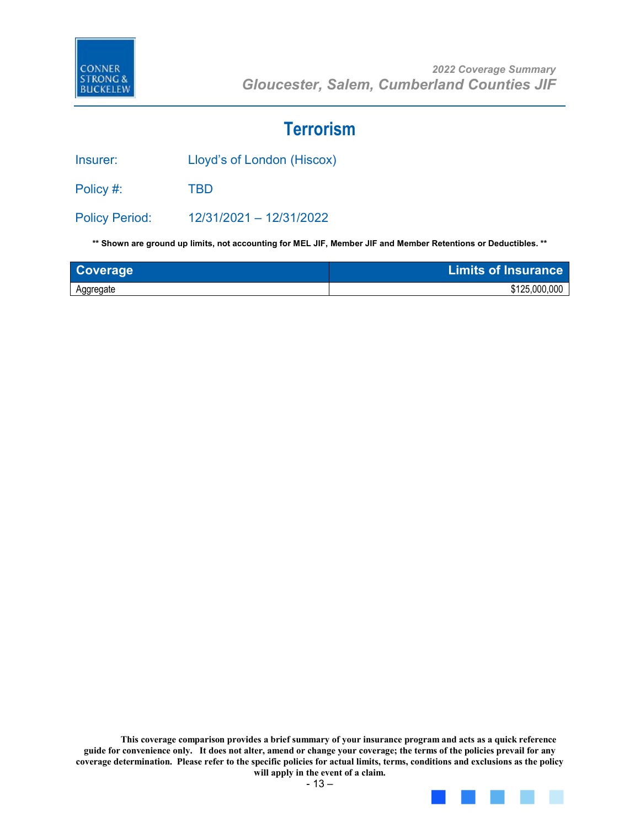

### **Terrorism**

Insurer: Lloyd's of London (Hiscox)

Policy #: TBD

Policy Period: 12/31/2021 – 12/31/2022

**\*\* Shown are ground up limits, not accounting for MEL JIF, Member JIF and Member Retentions or Deductibles. \*\***

| Coverage  | <b>Limits of Insurance</b> |
|-----------|----------------------------|
| Aggregate | \$125,000,000              |

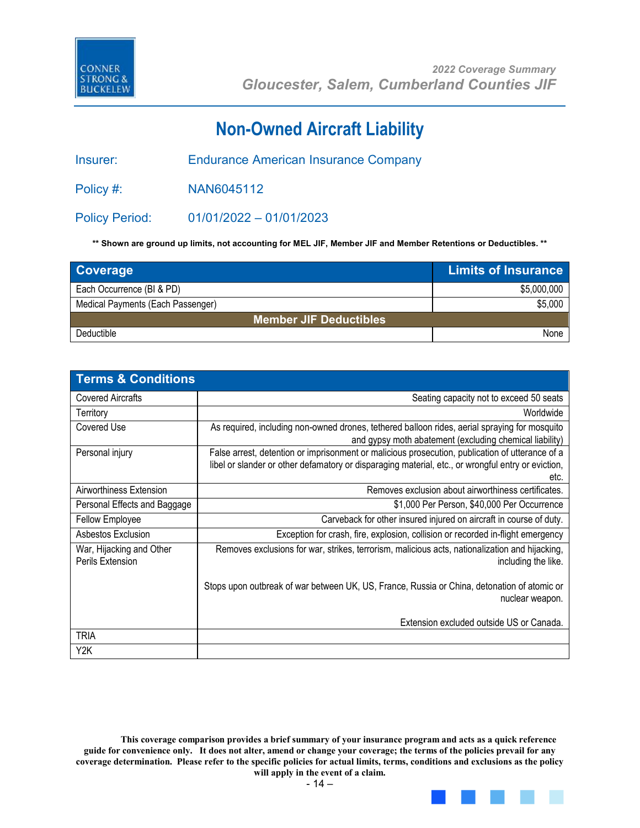

## **Non-Owned Aircraft Liability**

Insurer: Endurance American Insurance Company

Policy #: NAN6045112

Policy Period: 01/01/2022 – 01/01/2023

**\*\* Shown are ground up limits, not accounting for MEL JIF, Member JIF and Member Retentions or Deductibles. \*\***

| <b>Coverage</b>                   | <b>Limits of Insurance</b> |  |
|-----------------------------------|----------------------------|--|
| Each Occurrence (BI & PD)         | \$5,000,000                |  |
| Medical Payments (Each Passenger) | \$5,000                    |  |
| <b>Member JIF Deductibles</b>     |                            |  |
| Deductible                        | None                       |  |

| <b>Terms &amp; Conditions</b>                |                                                                                                                                                                                                               |
|----------------------------------------------|---------------------------------------------------------------------------------------------------------------------------------------------------------------------------------------------------------------|
| <b>Covered Aircrafts</b>                     | Seating capacity not to exceed 50 seats                                                                                                                                                                       |
| Territory                                    | Worldwide                                                                                                                                                                                                     |
| Covered Use                                  | As required, including non-owned drones, tethered balloon rides, aerial spraying for mosquito<br>and gypsy moth abatement (excluding chemical liability)                                                      |
| Personal injury                              | False arrest, detention or imprisonment or malicious prosecution, publication of utterance of a<br>libel or slander or other defamatory or disparaging material, etc., or wrongful entry or eviction,<br>etc. |
| Airworthiness Extension                      | Removes exclusion about airworthiness certificates.                                                                                                                                                           |
| Personal Effects and Baggage                 | \$1,000 Per Person, \$40,000 Per Occurrence                                                                                                                                                                   |
| Fellow Employee                              | Carveback for other insured injured on aircraft in course of duty.                                                                                                                                            |
| Asbestos Exclusion                           | Exception for crash, fire, explosion, collision or recorded in-flight emergency                                                                                                                               |
| War, Hijacking and Other<br>Perils Extension | Removes exclusions for war, strikes, terrorism, malicious acts, nationalization and hijacking,<br>including the like.                                                                                         |
|                                              | Stops upon outbreak of war between UK, US, France, Russia or China, detonation of atomic or<br>nuclear weapon.                                                                                                |
|                                              | Extension excluded outside US or Canada.                                                                                                                                                                      |
| <b>TRIA</b>                                  |                                                                                                                                                                                                               |
| Y2K                                          |                                                                                                                                                                                                               |